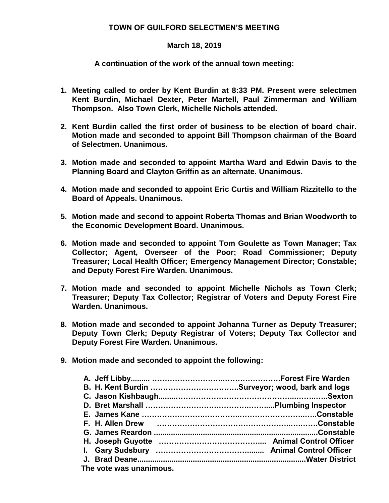## **TOWN OF GUILFORD SELECTMEN'S MEETING**

## **March 18, 2019**

## **A continuation of the work of the annual town meeting:**

- **1. Meeting called to order by Kent Burdin at 8:33 PM. Present were selectmen Kent Burdin, Michael Dexter, Peter Martell, Paul Zimmerman and William Thompson. Also Town Clerk, Michelle Nichols attended.**
- **2. Kent Burdin called the first order of business to be election of board chair. Motion made and seconded to appoint Bill Thompson chairman of the Board of Selectmen. Unanimous.**
- **3. Motion made and seconded to appoint Martha Ward and Edwin Davis to the Planning Board and Clayton Griffin as an alternate. Unanimous.**
- **4. Motion made and seconded to appoint Eric Curtis and William Rizzitello to the Board of Appeals. Unanimous.**
- **5. Motion made and second to appoint Roberta Thomas and Brian Woodworth to the Economic Development Board. Unanimous.**
- **6. Motion made and seconded to appoint Tom Goulette as Town Manager; Tax Collector; Agent, Overseer of the Poor; Road Commissioner; Deputy Treasurer; Local Health Officer; Emergency Management Director; Constable; and Deputy Forest Fire Warden. Unanimous.**
- **7. Motion made and seconded to appoint Michelle Nichols as Town Clerk; Treasurer; Deputy Tax Collector; Registrar of Voters and Deputy Forest Fire Warden. Unanimous.**
- **8. Motion made and seconded to appoint Johanna Turner as Deputy Treasurer; Deputy Town Clerk; Deputy Registrar of Voters; Deputy Tax Collector and Deputy Forest Fire Warden. Unanimous.**
- **9. Motion made and seconded to appoint the following:**

| The vote was unanimous. |  |
|-------------------------|--|